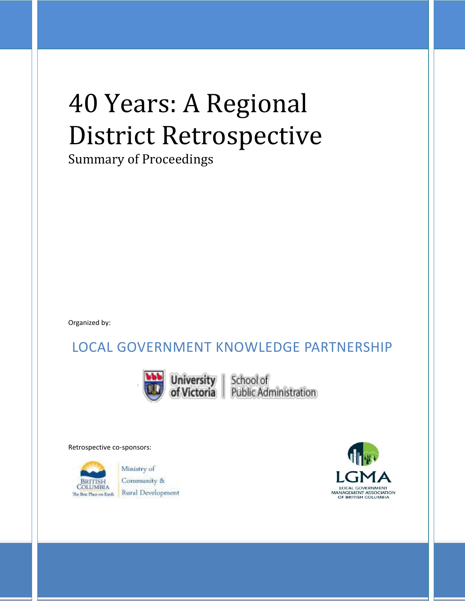# 40 Years: A Regional District Retrospective

Summary of Proceedings

Organized by:

### LOCAL GOVERNMENT KNOWLEDGE PARTNERSHIP



**University** | School of<br>of Victoria | Public Administration

Retrospective co-sponsors:

The Best Place on Earth

Ministry of Community & **Rural Development** 

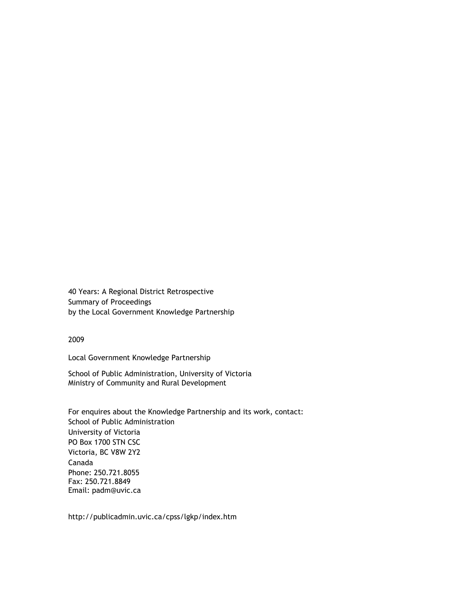40 Years: A Regional District Retrospective Summary of Proceedings by the Local Government Knowledge Partnership

2009

Local Government Knowledge Partnership

School of Public Administration, University of Victoria Ministry of Community and Rural Development

For enquires about the Knowledge Partnership and its work, contact: School of Public Administration University of Victoria PO Box 1700 STN CSC Victoria, BC V8W 2Y2 Canada Phone: 250.721.8055 Fax: 250.721.8849 Email: padm@uvic.ca

http://publicadmin.uvic.ca/cpss/lgkp/index.htm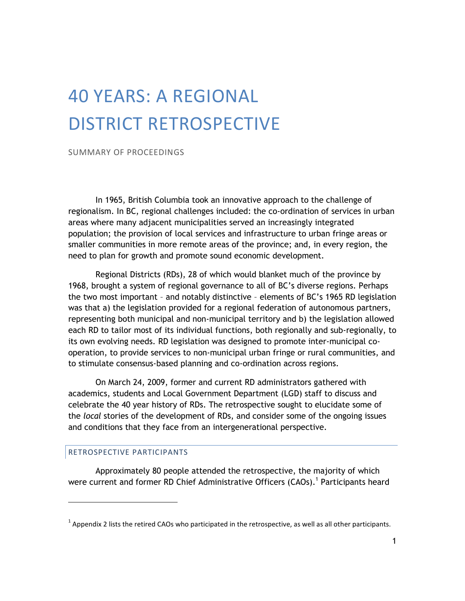## 40 YEARS: A REGIONAL DISTRICT RETROSPECTIVE

SUMMARY OF PROCEEDINGS

In 1965, British Columbia took an innovative approach to the challenge of regionalism. In BC, regional challenges included: the co-ordination of services in urban areas where many adjacent municipalities served an increasingly integrated population; the provision of local services and infrastructure to urban fringe areas or smaller communities in more remote areas of the province; and, in every region, the need to plan for growth and promote sound economic development.

Regional Districts (RDs), 28 of which would blanket much of the province by 1968, brought a system of regional governance to all of BC's diverse regions. Perhaps the two most important – and notably distinctive – elements of BC's 1965 RD legislation was that a) the legislation provided for a regional federation of autonomous partners, representing both municipal and non-municipal territory and b) the legislation allowed each RD to tailor most of its individual functions, both regionally and sub-regionally, to its own evolving needs. RD legislation was designed to promote inter-municipal cooperation, to provide services to non-municipal urban fringe or rural communities, and to stimulate consensus-based planning and co-ordination across regions.

On March 24, 2009, former and current RD administrators gathered with academics, students and Local Government Department (LGD) staff to discuss and celebrate the 40 year history of RDs. The retrospective sought to elucidate some of the *local* stories of the development of RDs, and consider some of the ongoing issues and conditions that they face from an intergenerational perspective.

#### RETROSPECTIVE PARTICIPANTS

 $\overline{a}$ 

Approximately 80 people attended the retrospective, the majority of which were current and former RD Chief Administrative Officers (CAOs).<sup>1</sup> Participants heard

 $<sup>1</sup>$  Appendix 2 lists the retired CAOs who participated in the retrospective, as well as all other participants.</sup>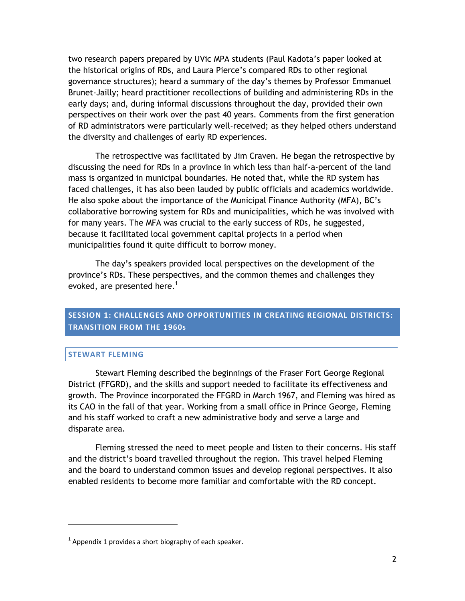two research papers prepared by UVic MPA students (Paul Kadota's paper looked at the historical origins of RDs, and Laura Pierce's compared RDs to other regional governance structures); heard a summary of the day's themes by Professor Emmanuel Brunet-Jailly; heard practitioner recollections of building and administering RDs in the early days; and, during informal discussions throughout the day, provided their own perspectives on their work over the past 40 years. Comments from the first generation of RD administrators were particularly well-received; as they helped others understand the diversity and challenges of early RD experiences.

The retrospective was facilitated by Jim Craven. He began the retrospective by discussing the need for RDs in a province in which less than half-a-percent of the land mass is organized in municipal boundaries. He noted that, while the RD system has faced challenges, it has also been lauded by public officials and academics worldwide. He also spoke about the importance of the Municipal Finance Authority (MFA), BC's collaborative borrowing system for RDs and municipalities, which he was involved with for many years. The MFA was crucial to the early success of RDs, he suggested, because it facilitated local government capital projects in a period when municipalities found it quite difficult to borrow money.

The day's speakers provided local perspectives on the development of the province's RDs. These perspectives, and the common themes and challenges they evoked, are presented here.<sup>1</sup>

#### **SESSION 1: CHALLENGES AND OPPORTUNITIES IN CREATING REGIONAL DISTRICTS: TRANSITION FROM THE 1960S**

#### **STEWART FLEMING**

 $\overline{a}$ 

Stewart Fleming described the beginnings of the Fraser Fort George Regional District (FFGRD), and the skills and support needed to facilitate its effectiveness and growth. The Province incorporated the FFGRD in March 1967, and Fleming was hired as its CAO in the fall of that year. Working from a small office in Prince George, Fleming and his staff worked to craft a new administrative body and serve a large and disparate area.

Fleming stressed the need to meet people and listen to their concerns. His staff and the district's board travelled throughout the region. This travel helped Fleming and the board to understand common issues and develop regional perspectives. It also enabled residents to become more familiar and comfortable with the RD concept.

 $1$  Appendix 1 provides a short biography of each speaker.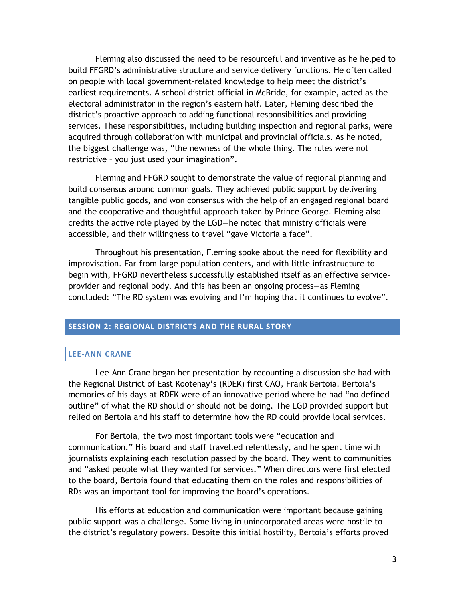Fleming also discussed the need to be resourceful and inventive as he helped to build FFGRD's administrative structure and service delivery functions. He often called on people with local government-related knowledge to help meet the district's earliest requirements. A school district official in McBride, for example, acted as the electoral administrator in the region's eastern half. Later, Fleming described the district's proactive approach to adding functional responsibilities and providing services. These responsibilities, including building inspection and regional parks, were acquired through collaboration with municipal and provincial officials. As he noted, the biggest challenge was, "the newness of the whole thing. The rules were not restrictive - you just used your imagination".

Fleming and FFGRD sought to demonstrate the value of regional planning and build consensus around common goals. They achieved public support by delivering tangible public goods, and won consensus with the help of an engaged regional board and the cooperative and thoughtful approach taken by Prince George. Fleming also credits the active role played by the LGD—he noted that ministry officials were accessible, and their willingness to travel "gave Victoria a face".

Throughout his presentation, Fleming spoke about the need for flexibility and improvisation. Far from large population centers, and with little infrastructure to begin with, FFGRD nevertheless successfully established itself as an effective serviceprovider and regional body. And this has been an ongoing process—as Fleming concluded: "The RD system was evolving and I'm hoping that it continues to evolve".

#### **SESSION 2: REGIONAL DISTRICTS AND THE RURAL STORY**

#### **LEE-ANN CRANE**

Lee-Ann Crane began her presentation by recounting a discussion she had with the Regional District of East Kootenay's (RDEK) first CAO, Frank Bertoia. Bertoia's memories of his days at RDEK were of an innovative period where he had "no defined outline‖ of what the RD should or should not be doing. The LGD provided support but relied on Bertoia and his staff to determine how the RD could provide local services.

For Bertoia, the two most important tools were "education and communication.‖ His board and staff travelled relentlessly, and he spent time with journalists explaining each resolution passed by the board. They went to communities and "asked people what they wanted for services." When directors were first elected to the board, Bertoia found that educating them on the roles and responsibilities of RDs was an important tool for improving the board's operations.

His efforts at education and communication were important because gaining public support was a challenge. Some living in unincorporated areas were hostile to the district's regulatory powers. Despite this initial hostility, Bertoia's efforts proved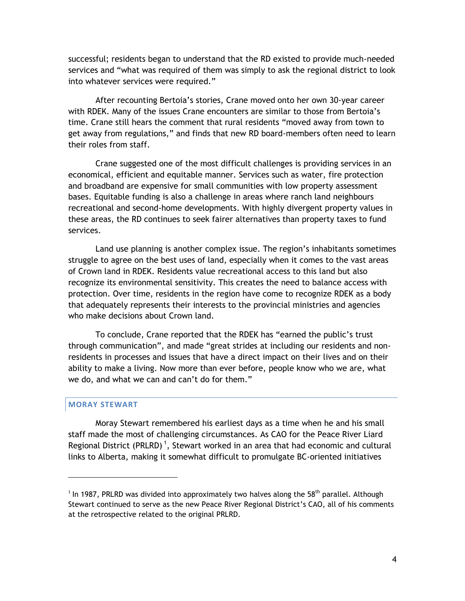successful; residents began to understand that the RD existed to provide much-needed services and "what was required of them was simply to ask the regional district to look into whatever services were required."

After recounting Bertoia's stories, Crane moved onto her own 30-year career with RDEK. Many of the issues Crane encounters are similar to those from Bertoia's time. Crane still hears the comment that rural residents "moved away from town to get away from regulations," and finds that new RD board-members often need to learn their roles from staff.

Crane suggested one of the most difficult challenges is providing services in an economical, efficient and equitable manner. Services such as water, fire protection and broadband are expensive for small communities with low property assessment bases. Equitable funding is also a challenge in areas where ranch land neighbours recreational and second-home developments. With highly divergent property values in these areas, the RD continues to seek fairer alternatives than property taxes to fund services.

Land use planning is another complex issue. The region's inhabitants sometimes struggle to agree on the best uses of land, especially when it comes to the vast areas of Crown land in RDEK. Residents value recreational access to this land but also recognize its environmental sensitivity. This creates the need to balance access with protection. Over time, residents in the region have come to recognize RDEK as a body that adequately represents their interests to the provincial ministries and agencies who make decisions about Crown land.

To conclude, Crane reported that the RDEK has "earned the public's trust through communication", and made "great strides at including our residents and nonresidents in processes and issues that have a direct impact on their lives and on their ability to make a living. Now more than ever before, people know who we are, what we do, and what we can and can't do for them."

#### **MORAY STEWART**

 $\overline{a}$ 

Moray Stewart remembered his earliest days as a time when he and his small staff made the most of challenging circumstances. As CAO for the Peace River Liard Regional District (PRLRD)<sup>1</sup>, Stewart worked in an area that had economic and cultural links to Alberta, making it somewhat difficult to promulgate BC-oriented initiatives

<sup>&</sup>lt;sup>1</sup> In 1987, PRLRD was divided into approximately two halves along the 58<sup>th</sup> parallel. Although Stewart continued to serve as the new Peace River Regional District's CAO, all of his comments at the retrospective related to the original PRLRD.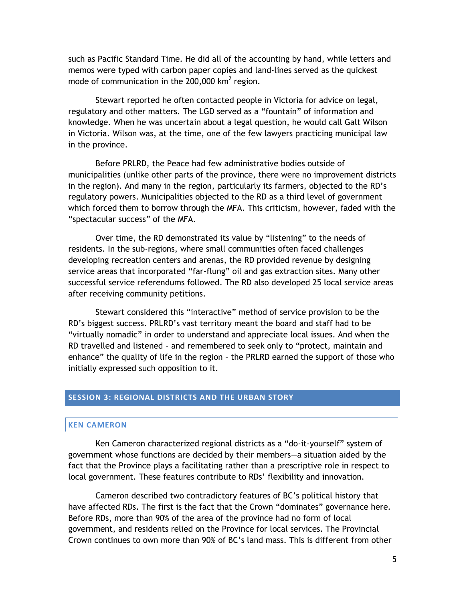such as Pacific Standard Time. He did all of the accounting by hand, while letters and memos were typed with carbon paper copies and land-lines served as the quickest mode of communication in the 200,000 km<sup>2</sup> region.

Stewart reported he often contacted people in Victoria for advice on legal, regulatory and other matters. The LGD served as a "fountain" of information and knowledge. When he was uncertain about a legal question, he would call Galt Wilson in Victoria. Wilson was, at the time, one of the few lawyers practicing municipal law in the province.

Before PRLRD, the Peace had few administrative bodies outside of municipalities (unlike other parts of the province, there were no improvement districts in the region). And many in the region, particularly its farmers, objected to the RD's regulatory powers. Municipalities objected to the RD as a third level of government which forced them to borrow through the MFA. This criticism, however, faded with the "spectacular success" of the MFA.

Over time, the RD demonstrated its value by "listening" to the needs of residents. In the sub-regions, where small communities often faced challenges developing recreation centers and arenas, the RD provided revenue by designing service areas that incorporated "far-flung" oil and gas extraction sites. Many other successful service referendums followed. The RD also developed 25 local service areas after receiving community petitions.

Stewart considered this "interactive" method of service provision to be the RD's biggest success. PRLRD's vast territory meant the board and staff had to be "virtually nomadic" in order to understand and appreciate local issues. And when the RD travelled and listened - and remembered to seek only to "protect, maintain and enhance" the quality of life in the region - the PRLRD earned the support of those who initially expressed such opposition to it.

#### **SESSION 3: REGIONAL DISTRICTS AND THE URBAN STORY**

#### **KEN CAMERON**

Ken Cameron characterized regional districts as a "do-it-yourself" system of government whose functions are decided by their members—a situation aided by the fact that the Province plays a facilitating rather than a prescriptive role in respect to local government. These features contribute to RDs' flexibility and innovation.

Cameron described two contradictory features of BC's political history that have affected RDs. The first is the fact that the Crown "dominates" governance here. Before RDs, more than 90% of the area of the province had no form of local government, and residents relied on the Province for local services. The Provincial Crown continues to own more than 90% of BC's land mass. This is different from other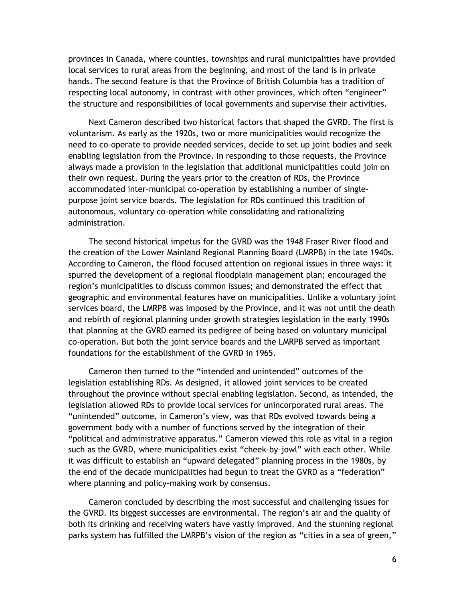provinces in Canada, where counties, townships and rural municipalities have provided local services to rural areas from the beginning, and most of the land is in private hands. The second feature is that the Province of British Columbia has a tradition of respecting local autonomy, in contrast with other provinces, which often "engineer" the structure and responsibilities of local governments and supervise their activities.

Next Cameron described two historical factors that shaped the GVRD. The first is voluntarism. As early as the 1920s, two or more municipalities would recognize the need to co-operate to provide needed services, decide to set up joint bodies and seek enabling legislation from the Province. In responding to those requests, the Province always made a provision in the legislation that additional municipalities could join on their own request. During the years prior to the creation of RDs, the Province accommodated inter-municipal co-operation by establishing a number of singlepurpose joint service boards. The legislation for RDs continued this tradition of autonomous, voluntary co-operation while consolidating and rationalizing administration.

The second historical impetus for the GVRD was the 1948 Fraser River flood and the creation of the Lower Mainland Regional Planning Board (LMRPB) in the late 1940s. According to Cameron, the flood focused attention on regional issues in three ways: it spurred the development of a regional floodplain management plan; encouraged the region's municipalities to discuss common issues; and demonstrated the effect that geographic and environmental features have on municipalities. Unlike a voluntary joint services board, the LMRPB was imposed by the Province, and it was not until the death and rebirth of regional planning under growth strategies legislation in the early 1990s that planning at the GVRD earned its pedigree of being based on voluntary municipal co-operation. But both the joint service boards and the LMRPB served as important foundations for the establishment of the GVRD in 1965.

Cameron then turned to the "intended and unintended" outcomes of the legislation establishing RDs. As designed, it allowed joint services to be created throughout the province without special enabling legislation. Second, as intended, the legislation allowed RDs to provide local services for unincorporated rural areas. The "unintended" outcome, in Cameron's view, was that RDs evolved towards being a government body with a number of functions served by the integration of their "political and administrative apparatus." Cameron viewed this role as vital in a region such as the GVRD, where municipalities exist "cheek-by-jowl" with each other. While it was difficult to establish an "upward delegated" planning process in the 1980s, by the end of the decade municipalities had begun to treat the GVRD as a "federation" where planning and policy-making work by consensus.

Cameron concluded by describing the most successful and challenging issues for the GVRD. Its biggest successes are environmental. The region's air and the quality of both its drinking and receiving waters have vastly improved. And the stunning regional parks system has fulfilled the LMRPB's vision of the region as "cities in a sea of green,"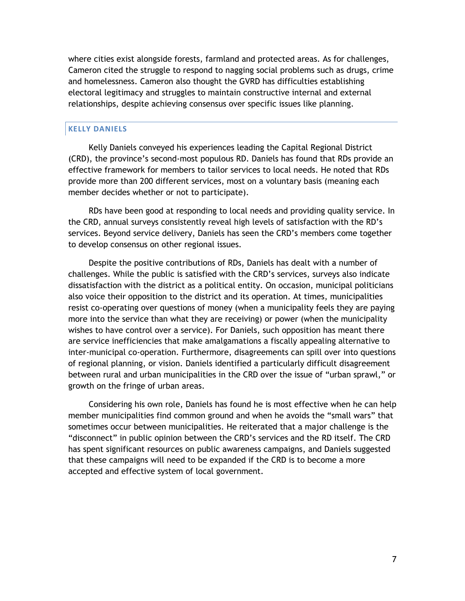where cities exist alongside forests, farmland and protected areas. As for challenges, Cameron cited the struggle to respond to nagging social problems such as drugs, crime and homelessness. Cameron also thought the GVRD has difficulties establishing electoral legitimacy and struggles to maintain constructive internal and external relationships, despite achieving consensus over specific issues like planning.

#### **KELLY DANIELS**

Kelly Daniels conveyed his experiences leading the Capital Regional District (CRD), the province's second-most populous RD. Daniels has found that RDs provide an effective framework for members to tailor services to local needs. He noted that RDs provide more than 200 different services, most on a voluntary basis (meaning each member decides whether or not to participate).

RDs have been good at responding to local needs and providing quality service. In the CRD, annual surveys consistently reveal high levels of satisfaction with the RD's services. Beyond service delivery, Daniels has seen the CRD's members come together to develop consensus on other regional issues.

Despite the positive contributions of RDs, Daniels has dealt with a number of challenges. While the public is satisfied with the CRD's services, surveys also indicate dissatisfaction with the district as a political entity. On occasion, municipal politicians also voice their opposition to the district and its operation. At times, municipalities resist co-operating over questions of money (when a municipality feels they are paying more into the service than what they are receiving) or power (when the municipality wishes to have control over a service). For Daniels, such opposition has meant there are service inefficiencies that make amalgamations a fiscally appealing alternative to inter-municipal co-operation. Furthermore, disagreements can spill over into questions of regional planning, or vision. Daniels identified a particularly difficult disagreement between rural and urban municipalities in the CRD over the issue of "urban sprawl," or growth on the fringe of urban areas.

Considering his own role, Daniels has found he is most effective when he can help member municipalities find common ground and when he avoids the "small wars" that sometimes occur between municipalities. He reiterated that a major challenge is the "disconnect" in public opinion between the CRD's services and the RD itself. The CRD has spent significant resources on public awareness campaigns, and Daniels suggested that these campaigns will need to be expanded if the CRD is to become a more accepted and effective system of local government.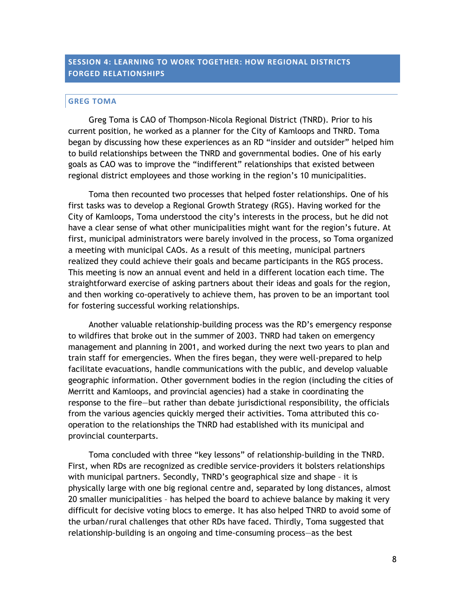#### **SESSION 4: LEARNING TO WORK TOGETHER: HOW REGIONAL DISTRICTS FORGED RELATIONSHIPS**

#### **GREG TOMA**

Greg Toma is CAO of Thompson-Nicola Regional District (TNRD). Prior to his current position, he worked as a planner for the City of Kamloops and TNRD. Toma began by discussing how these experiences as an RD "insider and outsider" helped him to build relationships between the TNRD and governmental bodies. One of his early goals as CAO was to improve the "indifferent" relationships that existed between regional district employees and those working in the region's 10 municipalities.

Toma then recounted two processes that helped foster relationships. One of his first tasks was to develop a Regional Growth Strategy (RGS). Having worked for the City of Kamloops, Toma understood the city's interests in the process, but he did not have a clear sense of what other municipalities might want for the region's future. At first, municipal administrators were barely involved in the process, so Toma organized a meeting with municipal CAOs. As a result of this meeting, municipal partners realized they could achieve their goals and became participants in the RGS process. This meeting is now an annual event and held in a different location each time. The straightforward exercise of asking partners about their ideas and goals for the region, and then working co-operatively to achieve them, has proven to be an important tool for fostering successful working relationships.

Another valuable relationship-building process was the RD's emergency response to wildfires that broke out in the summer of 2003. TNRD had taken on emergency management and planning in 2001, and worked during the next two years to plan and train staff for emergencies. When the fires began, they were well-prepared to help facilitate evacuations, handle communications with the public, and develop valuable geographic information. Other government bodies in the region (including the cities of Merritt and Kamloops, and provincial agencies) had a stake in coordinating the response to the fire—but rather than debate jurisdictional responsibility, the officials from the various agencies quickly merged their activities. Toma attributed this cooperation to the relationships the TNRD had established with its municipal and provincial counterparts.

Toma concluded with three "key lessons" of relationship-building in the TNRD. First, when RDs are recognized as credible service-providers it bolsters relationships with municipal partners. Secondly, TNRD's geographical size and shape – it is physically large with one big regional centre and, separated by long distances, almost 20 smaller municipalities – has helped the board to achieve balance by making it very difficult for decisive voting blocs to emerge. It has also helped TNRD to avoid some of the urban/rural challenges that other RDs have faced. Thirdly, Toma suggested that relationship-building is an ongoing and time-consuming process—as the best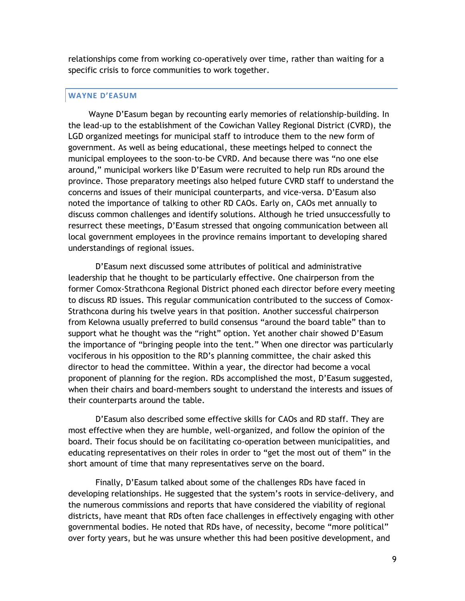relationships come from working co-operatively over time, rather than waiting for a specific crisis to force communities to work together.

#### **WAYNE D'EASUM**

Wayne D'Easum began by recounting early memories of relationship-building. In the lead-up to the establishment of the Cowichan Valley Regional District (CVRD), the LGD organized meetings for municipal staff to introduce them to the new form of government. As well as being educational, these meetings helped to connect the municipal employees to the soon-to-be CVRD. And because there was "no one else around," municipal workers like D'Easum were recruited to help run RDs around the province. Those preparatory meetings also helped future CVRD staff to understand the concerns and issues of their municipal counterparts, and vice-versa. D'Easum also noted the importance of talking to other RD CAOs. Early on, CAOs met annually to discuss common challenges and identify solutions. Although he tried unsuccessfully to resurrect these meetings, D'Easum stressed that ongoing communication between all local government employees in the province remains important to developing shared understandings of regional issues.

D'Easum next discussed some attributes of political and administrative leadership that he thought to be particularly effective. One chairperson from the former Comox-Strathcona Regional District phoned each director before every meeting to discuss RD issues. This regular communication contributed to the success of Comox-Strathcona during his twelve years in that position. Another successful chairperson from Kelowna usually preferred to build consensus "around the board table" than to support what he thought was the "right" option. Yet another chair showed D'Easum the importance of "bringing people into the tent." When one director was particularly vociferous in his opposition to the RD's planning committee, the chair asked this director to head the committee. Within a year, the director had become a vocal proponent of planning for the region. RDs accomplished the most, D'Easum suggested, when their chairs and board-members sought to understand the interests and issues of their counterparts around the table.

D'Easum also described some effective skills for CAOs and RD staff. They are most effective when they are humble, well-organized, and follow the opinion of the board. Their focus should be on facilitating co-operation between municipalities, and educating representatives on their roles in order to "get the most out of them" in the short amount of time that many representatives serve on the board.

Finally, D'Easum talked about some of the challenges RDs have faced in developing relationships. He suggested that the system's roots in service-delivery, and the numerous commissions and reports that have considered the viability of regional districts, have meant that RDs often face challenges in effectively engaging with other governmental bodies. He noted that RDs have, of necessity, become "more political" over forty years, but he was unsure whether this had been positive development, and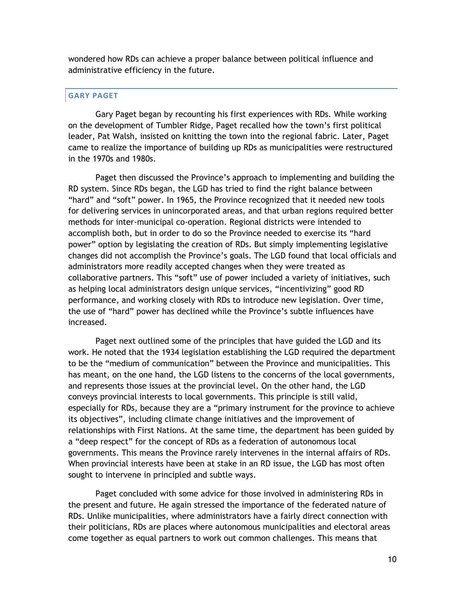wondered how RDs can achieve a proper balance between political influence and administrative efficiency in the future.

#### **GARY PAGET**

Gary Paget began by recounting his first experiences with RDs. While working on the development of Tumbler Ridge, Paget recalled how the town's first political leader, Pat Walsh, insisted on knitting the town into the regional fabric. Later, Paget came to realize the importance of building up RDs as municipalities were restructured in the 1970s and 1980s.

Paget then discussed the Province's approach to implementing and building the RD system. Since RDs began, the LGD has tried to find the right balance between "hard" and "soft" power. In 1965, the Province recognized that it needed new tools for delivering services in unincorporated areas, and that urban regions required better methods for inter-municipal co-operation. Regional districts were intended to accomplish both, but in order to do so the Province needed to exercise its "hard power‖ option by legislating the creation of RDs. But simply implementing legislative changes did not accomplish the Province's goals. The LGD found that local officials and administrators more readily accepted changes when they were treated as collaborative partners. This "soft" use of power included a variety of initiatives, such as helping local administrators design unique services, "incentivizing" good RD performance, and working closely with RDs to introduce new legislation. Over time, the use of "hard" power has declined while the Province's subtle influences have increased.

Paget next outlined some of the principles that have guided the LGD and its work. He noted that the 1934 legislation establishing the LGD required the department to be the "medium of communication" between the Province and municipalities. This has meant, on the one hand, the LGD listens to the concerns of the local governments, and represents those issues at the provincial level. On the other hand, the LGD conveys provincial interests to local governments. This principle is still valid, especially for RDs, because they are a "primary instrument for the province to achieve its objectives", including climate change initiatives and the improvement of relationships with First Nations. At the same time, the department has been guided by a "deep respect" for the concept of RDs as a federation of autonomous local governments. This means the Province rarely intervenes in the internal affairs of RDs. When provincial interests have been at stake in an RD issue, the LGD has most often sought to intervene in principled and subtle ways.

Paget concluded with some advice for those involved in administering RDs in the present and future. He again stressed the importance of the federated nature of RDs. Unlike municipalities, where administrators have a fairly direct connection with their politicians, RDs are places where autonomous municipalities and electoral areas come together as equal partners to work out common challenges. This means that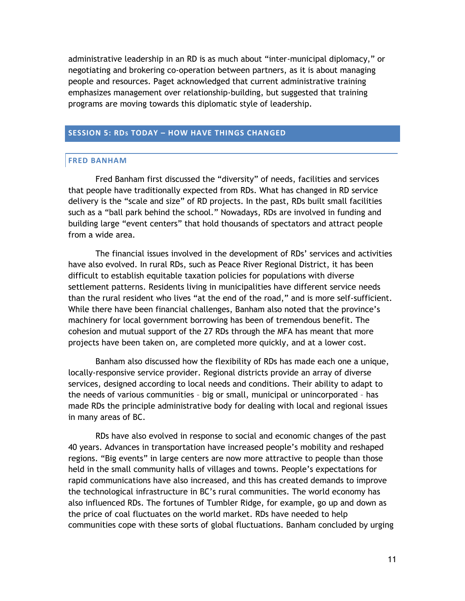administrative leadership in an RD is as much about "inter-municipal diplomacy," or negotiating and brokering co-operation between partners, as it is about managing people and resources. Paget acknowledged that current administrative training emphasizes management over relationship-building, but suggested that training programs are moving towards this diplomatic style of leadership.

#### **SESSION 5: RDS TODAY – HOW HAVE THINGS CHANGED**

#### **FRED BANHAM**

Fred Banham first discussed the "diversity" of needs, facilities and services that people have traditionally expected from RDs. What has changed in RD service delivery is the "scale and size" of RD projects. In the past, RDs built small facilities such as a "ball park behind the school." Nowadays, RDs are involved in funding and building large "event centers" that hold thousands of spectators and attract people from a wide area.

The financial issues involved in the development of RDs' services and activities have also evolved. In rural RDs, such as Peace River Regional District, it has been difficult to establish equitable taxation policies for populations with diverse settlement patterns. Residents living in municipalities have different service needs than the rural resident who lives "at the end of the road," and is more self-sufficient. While there have been financial challenges, Banham also noted that the province's machinery for local government borrowing has been of tremendous benefit. The cohesion and mutual support of the 27 RDs through the MFA has meant that more projects have been taken on, are completed more quickly, and at a lower cost.

Banham also discussed how the flexibility of RDs has made each one a unique, locally-responsive service provider. Regional districts provide an array of diverse services, designed according to local needs and conditions. Their ability to adapt to the needs of various communities – big or small, municipal or unincorporated – has made RDs the principle administrative body for dealing with local and regional issues in many areas of BC.

RDs have also evolved in response to social and economic changes of the past 40 years. Advances in transportation have increased people's mobility and reshaped regions. "Big events" in large centers are now more attractive to people than those held in the small community halls of villages and towns. People's expectations for rapid communications have also increased, and this has created demands to improve the technological infrastructure in BC's rural communities. The world economy has also influenced RDs. The fortunes of Tumbler Ridge, for example, go up and down as the price of coal fluctuates on the world market. RDs have needed to help communities cope with these sorts of global fluctuations. Banham concluded by urging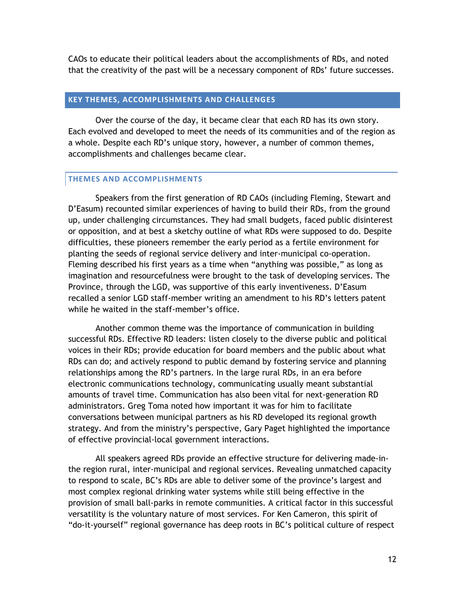CAOs to educate their political leaders about the accomplishments of RDs, and noted that the creativity of the past will be a necessary component of RDs' future successes.

#### **KEY THEMES, ACCOMPLISHMENTS AND CHALLENGES**

Over the course of the day, it became clear that each RD has its own story. Each evolved and developed to meet the needs of its communities and of the region as a whole. Despite each RD's unique story, however, a number of common themes, accomplishments and challenges became clear.

#### **THEMES AND ACCOMPLISHMENTS**

Speakers from the first generation of RD CAOs (including Fleming, Stewart and D'Easum) recounted similar experiences of having to build their RDs, from the ground up, under challenging circumstances. They had small budgets, faced public disinterest or opposition, and at best a sketchy outline of what RDs were supposed to do. Despite difficulties, these pioneers remember the early period as a fertile environment for planting the seeds of regional service delivery and inter-municipal co-operation. Fleming described his first years as a time when "anything was possible," as long as imagination and resourcefulness were brought to the task of developing services. The Province, through the LGD, was supportive of this early inventiveness. D'Easum recalled a senior LGD staff-member writing an amendment to his RD's letters patent while he waited in the staff-member's office.

Another common theme was the importance of communication in building successful RDs. Effective RD leaders: listen closely to the diverse public and political voices in their RDs; provide education for board members and the public about what RDs can do; and actively respond to public demand by fostering service and planning relationships among the RD's partners. In the large rural RDs, in an era before electronic communications technology, communicating usually meant substantial amounts of travel time. Communication has also been vital for next-generation RD administrators. Greg Toma noted how important it was for him to facilitate conversations between municipal partners as his RD developed its regional growth strategy. And from the ministry's perspective, Gary Paget highlighted the importance of effective provincial-local government interactions.

All speakers agreed RDs provide an effective structure for delivering made-inthe region rural, inter-municipal and regional services. Revealing unmatched capacity to respond to scale, BC's RDs are able to deliver some of the province's largest and most complex regional drinking water systems while still being effective in the provision of small ball-parks in remote communities. A critical factor in this successful versatility is the voluntary nature of most services. For Ken Cameron, this spirit of "do-it-yourself" regional governance has deep roots in BC's political culture of respect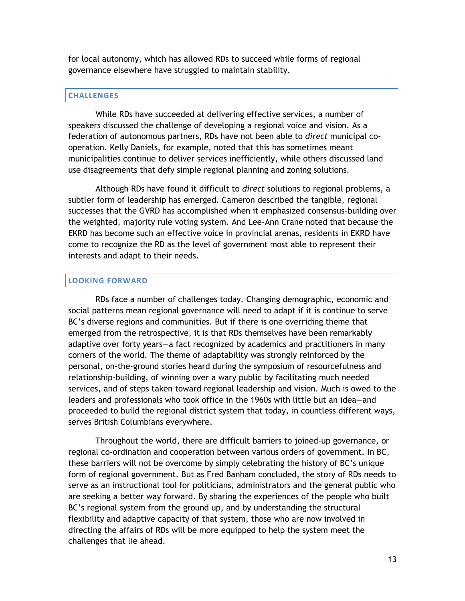for local autonomy, which has allowed RDs to succeed while forms of regional governance elsewhere have struggled to maintain stability.

#### **CHALLENGES**

While RDs have succeeded at delivering effective services, a number of speakers discussed the challenge of developing a regional voice and vision. As a federation of autonomous partners, RDs have not been able to *direct* municipal cooperation. Kelly Daniels, for example, noted that this has sometimes meant municipalities continue to deliver services inefficiently, while others discussed land use disagreements that defy simple regional planning and zoning solutions.

Although RDs have found it difficult to *direct* solutions to regional problems, a subtler form of leadership has emerged. Cameron described the tangible, regional successes that the GVRD has accomplished when it emphasized consensus-building over the weighted, majority rule voting system. And Lee-Ann Crane noted that because the EKRD has become such an effective voice in provincial arenas, residents in EKRD have come to recognize the RD as the level of government most able to represent their interests and adapt to their needs.

#### **LOOKING FORWARD**

RDs face a number of challenges today. Changing demographic, economic and social patterns mean regional governance will need to adapt if it is continue to serve BC's diverse regions and communities. But if there is one overriding theme that emerged from the retrospective, it is that RDs themselves have been remarkably adaptive over forty years—a fact recognized by academics and practitioners in many corners of the world. The theme of adaptability was strongly reinforced by the personal, on-the-ground stories heard during the symposium of resourcefulness and relationship-building, of winning over a wary public by facilitating much needed services, and of steps taken toward regional leadership and vision. Much is owed to the leaders and professionals who took office in the 1960s with little but an idea—and proceeded to build the regional district system that today, in countless different ways, serves British Columbians everywhere.

Throughout the world, there are difficult barriers to joined-up governance, or regional co-ordination and cooperation between various orders of government. In BC, these barriers will not be overcome by simply celebrating the history of BC's unique form of regional government. But as Fred Banham concluded, the story of RDs needs to serve as an instructional tool for politicians, administrators and the general public who are seeking a better way forward. By sharing the experiences of the people who built BC's regional system from the ground up, and by understanding the structural flexibility and adaptive capacity of that system, those who are now involved in directing the affairs of RDs will be more equipped to help the system meet the challenges that lie ahead.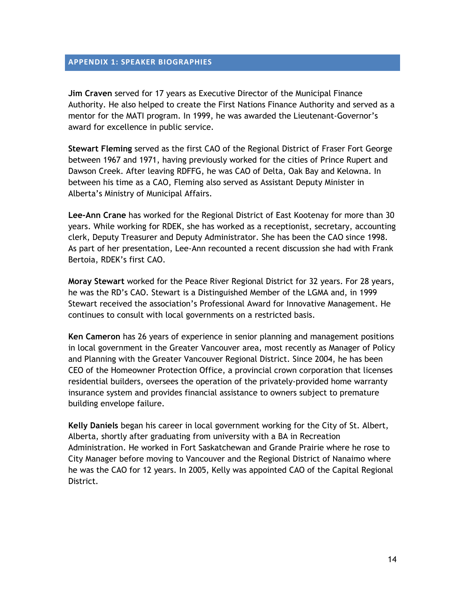#### **APPENDIX 1: SPEAKER BIOGRAPHIES**

**Jim Craven** served for 17 years as Executive Director of the Municipal Finance Authority. He also helped to create the First Nations Finance Authority and served as a mentor for the MATI program. In 1999, he was awarded the Lieutenant-Governor's award for excellence in public service.

**Stewart Fleming** served as the first CAO of the Regional District of Fraser Fort George between 1967 and 1971, having previously worked for the cities of Prince Rupert and Dawson Creek. After leaving RDFFG, he was CAO of Delta, Oak Bay and Kelowna. In between his time as a CAO, Fleming also served as Assistant Deputy Minister in Alberta's Ministry of Municipal Affairs.

**Lee-Ann Crane** has worked for the Regional District of East Kootenay for more than 30 years. While working for RDEK, she has worked as a receptionist, secretary, accounting clerk, Deputy Treasurer and Deputy Administrator. She has been the CAO since 1998. As part of her presentation, Lee-Ann recounted a recent discussion she had with Frank Bertoia, RDEK's first CAO.

**Moray Stewart** worked for the Peace River Regional District for 32 years. For 28 years, he was the RD's CAO. Stewart is a Distinguished Member of the LGMA and, in 1999 Stewart received the association's Professional Award for Innovative Management. He continues to consult with local governments on a restricted basis.

**Ken Cameron** has 26 years of experience in senior planning and management positions in local government in the Greater Vancouver area, most recently as Manager of Policy and Planning with the Greater Vancouver Regional District. Since 2004, he has been CEO of the Homeowner Protection Office, a provincial crown corporation that licenses residential builders, oversees the operation of the privately-provided home warranty insurance system and provides financial assistance to owners subject to premature building envelope failure.

**Kelly Daniels** began his career in local government working for the City of St. Albert, Alberta, shortly after graduating from university with a BA in Recreation Administration. He worked in Fort Saskatchewan and Grande Prairie where he rose to City Manager before moving to Vancouver and the Regional District of Nanaimo where he was the CAO for 12 years. In 2005, Kelly was appointed CAO of the Capital Regional District.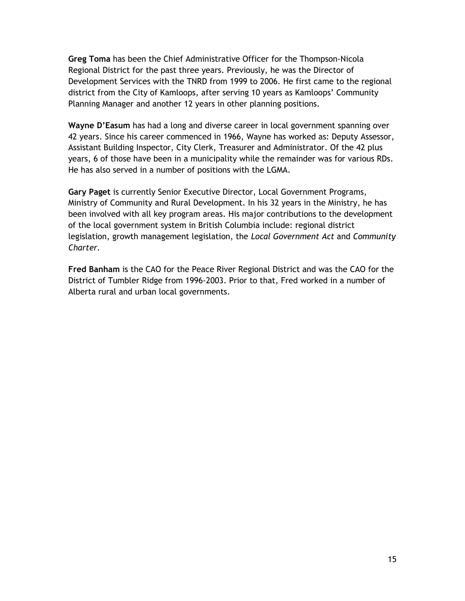**Greg Toma** has been the Chief Administrative Officer for the Thompson-Nicola Regional District for the past three years. Previously, he was the Director of Development Services with the TNRD from 1999 to 2006. He first came to the regional district from the City of Kamloops, after serving 10 years as Kamloops' Community Planning Manager and another 12 years in other planning positions.

**Wayne D'Easum** has had a long and diverse career in local government spanning over 42 years. Since his career commenced in 1966, Wayne has worked as: Deputy Assessor, Assistant Building Inspector, City Clerk, Treasurer and Administrator. Of the 42 plus years, 6 of those have been in a municipality while the remainder was for various RDs. He has also served in a number of positions with the LGMA.

**Gary Paget** is currently Senior Executive Director, Local Government Programs, Ministry of Community and Rural Development. In his 32 years in the Ministry, he has been involved with all key program areas. His major contributions to the development of the local government system in British Columbia include: regional district legislation, growth management legislation, the *Local Government Act* and *Community Charter.* 

**Fred Banham** is the CAO for the Peace River Regional District and was the CAO for the District of Tumbler Ridge from 1996-2003. Prior to that, Fred worked in a number of Alberta rural and urban local governments.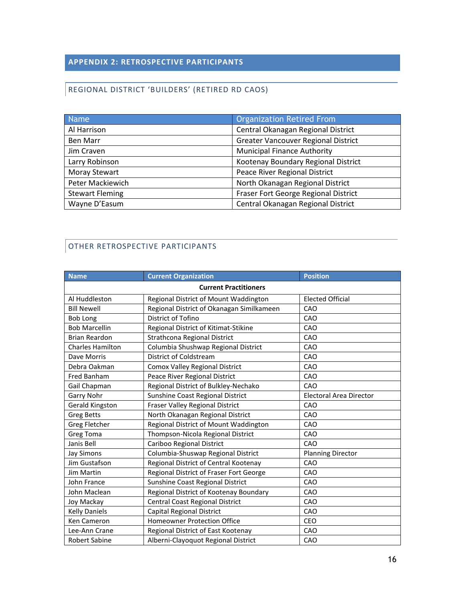#### **APPENDIX 2: RETROSPECTIVE PARTICIPANTS**

#### REGIONAL DISTRICT 'BUILDERS' (RETIRED RD CAOS)

| <b>Name</b>            | Organization Retired From                  |  |
|------------------------|--------------------------------------------|--|
| Al Harrison            | Central Okanagan Regional District         |  |
| Ben Marr               | <b>Greater Vancouver Regional District</b> |  |
| Jim Craven             | <b>Municipal Finance Authority</b>         |  |
| Larry Robinson         | Kootenay Boundary Regional District        |  |
| <b>Moray Stewart</b>   | Peace River Regional District              |  |
| Peter Mackiewich       | North Okanagan Regional District           |  |
| <b>Stewart Fleming</b> | Fraser Fort George Regional District       |  |
| Wayne D'Easum          | Central Okanagan Regional District         |  |

#### OTHER RETROSPECTIVE PARTICIPANTS

| <b>Name</b>                  | <b>Current Organization</b>               | <b>Position</b>          |  |
|------------------------------|-------------------------------------------|--------------------------|--|
| <b>Current Practitioners</b> |                                           |                          |  |
| Al Huddleston                | Regional District of Mount Waddington     | <b>Elected Official</b>  |  |
| <b>Bill Newell</b>           | Regional District of Okanagan Similkameen | CAO                      |  |
| <b>Bob Long</b>              | District of Tofino                        | CAO                      |  |
| <b>Bob Marcellin</b>         | Regional District of Kitimat-Stikine      | CAO                      |  |
| <b>Brian Reardon</b>         | Strathcona Regional District              | CAO                      |  |
| <b>Charles Hamilton</b>      | Columbia Shushwap Regional District       | CAO                      |  |
| Dave Morris                  | District of Coldstream                    | CAO                      |  |
| Debra Oakman                 | <b>Comox Valley Regional District</b>     | CAO                      |  |
| Fred Banham                  | Peace River Regional District             | CAO                      |  |
| Gail Chapman                 | Regional District of Bulkley-Nechako      | CAO                      |  |
| Garry Nohr                   | Sunshine Coast Regional District          | Electoral Area Director  |  |
| Gerald Kingston              | Fraser Valley Regional District           | CAO                      |  |
| <b>Greg Betts</b>            | North Okanagan Regional District          | CAO                      |  |
| <b>Greg Fletcher</b>         | Regional District of Mount Waddington     | CAO                      |  |
| <b>Greg Toma</b>             | Thompson-Nicola Regional District         | CAO                      |  |
| Janis Bell                   | Cariboo Regional District                 | CAO                      |  |
| Jay Simons                   | Columbia-Shuswap Regional District        | <b>Planning Director</b> |  |
| Jim Gustafson                | Regional District of Central Kootenay     | CAO                      |  |
| <b>Jim Martin</b>            | Regional District of Fraser Fort George   | CAO                      |  |
| John France                  | Sunshine Coast Regional District          | CAO                      |  |
| John Maclean                 | Regional District of Kootenay Boundary    | CAO                      |  |
| Joy Mackay                   | Central Coast Regional District           | CAO                      |  |
| <b>Kelly Daniels</b>         | Capital Regional District                 | CAO                      |  |
| Ken Cameron                  | <b>Homeowner Protection Office</b>        | <b>CEO</b>               |  |
| Lee-Ann Crane                | Regional District of East Kootenay        | CAO                      |  |
| <b>Robert Sabine</b>         | Alberni-Clayoquot Regional District       | CAO                      |  |